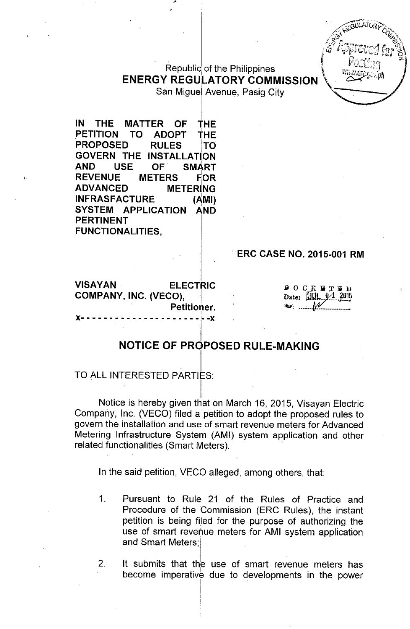# Republic of the Philippines **ENERGY REGULATORY COMMISSION**

San Miguel Avenue, Pasig City

IN THE MATTER OF THE<br>PETITION TO ADOPT THE PETITION PROPOSED RULES TO GOVERN THE INSTALLATION<br>AND USE OF SMART **SMART** REVENUE METERS FOR ADVANCED METERiNG INFRASFACTURE (AMI) SYSTEM APPLICATION AND PERTINENT FUNCTIONALITIES,

(

# ERC CASE NO. 2015-001 RM

VISAYAN ELECTRIC COMPANY, INC. (VECO), Petitioner. I x- - - - - - - - - - - - - - - - - - - - - '--x  $90C K$  if  $T$  in in Date:  $\frac{6}{2}$ ""'.. . "" ------------

# NOTICE OF PROPOSED RULE-MAKING

# TO ALL INTERESTED PARTIES:

I Notice is hereby given that on March 16, 2015, Visayan Electric Company, Inc. (VECO) filed a petition to adopt the proposed rules to govern the installation and use of smart revenue meters for Advanced Metering Infrastructure System (AMI) system application and other related functionalities (Smart Meters).

In the said petition, VECO alleged, among others, that:

I I

- 1. Pursuant to Rule 21 of the Rules of Practice and Procedure of the Commission (ERC Rules), the instant petition is being filed for the purpose of authorizing the use of smart revenue meters for AMI system application and Smart Meters;
- 2. It submits that the use of smart revenue meters has become imperative due to developments in the power , '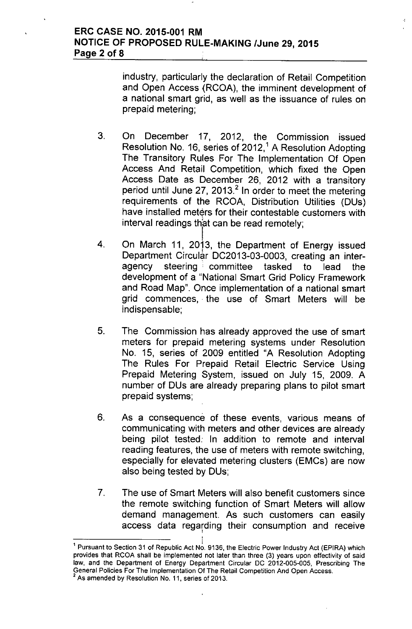industry, particularly the declaration of Retail Competition and Open Access (RCOA), the imminent development of a national smart grid, as well as the issuance of rules on prepaid metering;

- 3. On December 17, 2012, the Commission issued Resolution No. 16, series of 2012,<sup>1</sup> A Resolution Adopting The Transitory Rules For The Implementation Of Open Access And Retail Competition, which fixed the Open Access Date as December 26, 2012 with a transitory period until June 27, 2013.<sup>2</sup> In order to meet the metering requirements of the RCOA, Distribution Utilities (DUs) have installed meters for their contestable customers with  $interval$  readings that can be read remotely;
- 4. On March 11, 2013, the Department of Energy issued I Department Circular DC2013-03-0003, creating an interagency steering committee tasked to lead the development of a "National Smart Grid Policy Framework and Road Map". Once implementation of a national smart grid commences, the use of Smart Meters will be indispensable;
- 5. The Commission has already approved the use of smart meters for prepaid metering systems under Resolution No. 15, series of 2009 entitled "A Resolution Adopting The Rules For Prepaid Retail Electric Service Using Prepaid Metering System, issued on July 15, 2009. A number of DUs are already preparing plans to pilot smart prepaid systems;
- 6. As a consequence of these events, various means of communicating with meters and other devices are already being pilot tested: In addition to remote and interval reading features, the use of meters with remote switching, especially for elevated metering clusters (EMCs) are now also being tested by DUs;
- 7. The use of Smart Meters will also benefit customers since the remote switching function of Smart Meters will allow demand management. As such customers can easily access data regarding their consumption and receive

,

<sup>&</sup>lt;sup>1</sup> Pursuant to Section 31 of Republic Act No. 9136, the Electric Power Industry Act (EPIRA) which provides that RCOA shall be implemented not later than three (3) years upon effectivity of said law, and the Department of Energy Department Circular DC 2012-005-005, Prescribing The General Policies For The Implementation Of The Retail Competition And Open Access. As amended by Resolution No. 11, series of 2013.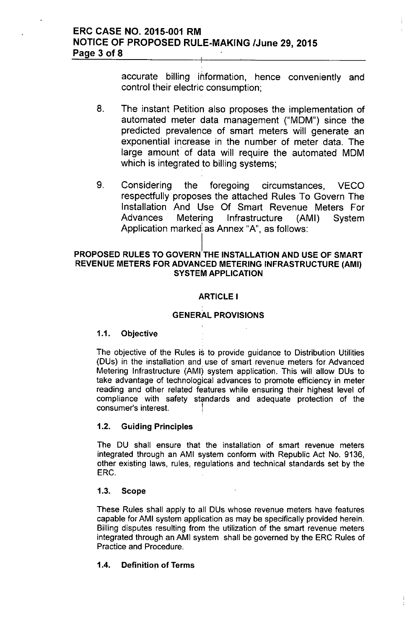accurate billing information, hence conveniently and control their electric consumption;

- 8. The instant Petition also proposes the implementation of automated meter data management ("MOM") since the predicted prevalence of smart meters will generate an exponential increase in the number of meter data. The large amount of data will require the automated MOM which is integrated to billing systems;
- 9. Considering the foregoing circumstances, VECO respectfully proposes the attached Rules To Govern The Installation And Use Of Smart Revenue Meters For Advances Metering Infrastructure (AMI) System Application marked as Annex "A", as follows:

## PROPOSED RULES TO GOVERN THE INSTALLATION AND USE OF SMART REVENUE METERS FOR ADVANCED METERING INFRASTRUCTURE (AMI) SYSTEM APPLICATION

# ARTICLE I

# GENERAL PROVISIONS

# 1.1. Objective

The objective of the Rules is to provide guidance to Distribution Utilities (DUs) in the installation and use of smart revenue meters for Advanced Metering Infrastructure (AMI) system application. This will allow DUs to take advantage of technological advances to promote efficiency in meter reading and other related features while ensuring their highest level of compliance with safety standards and adequate protection of the consumer's interest. !

# 1.2. Guiding Principles

The DU shall ensure that the installation of smart revenue meters integrated through an AMI system conform with Republic Act No. 9136, other existing laws, rules, regulations and technical standards set by the ERC.

### 1.3. Scope

These Rules shall apply to all DUs whose revenue meters have features capable for AMI system application as may be specifically provided herein. Billing disputes resulting from the utilization of the smart revenue meters integrated through an AMI system shall be governed by the ERC Rules of Practice and Procedure.

# 1.4. Definition of Terms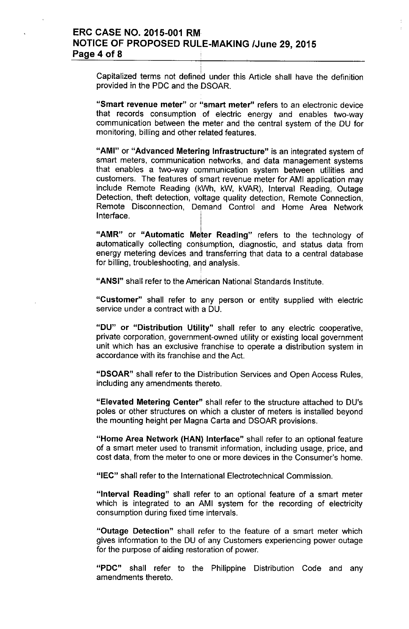# ERC CASE NO. 2015-001 RM NOTICE OF PROPOSED RULE-MAKING *IJune* 29,2015 Page 4 of 8

Capitalized terms not defined under this Article shall have the definition provided in the PDC and the DSOAR.

"Smart revenue meter" or "smart meter" refers to an electronic device that records consumption of electric energy and enables two-way communication between the meter and the central system of the DU for monitoring, billing and other related features.

"AMI" or "Advanced Metering Infrastructure" is an integrated system of smart meters, communication networks, and data management systems that enables a two-way communication system between utilities and customers. The features of smart revenue meter for AMI application may include Remote Reading (kWh, kW, kVAR), Interval Reading, Outage Detection, theft detection, voltage quality detection, Remote Connection, Remote Disconnection, Demand Control and Home Area Network Interface.

"AMR" or "Automatic Meter Reading" refers to the technology of automatically collecting consumption, diagnostic, and status data from energy metering devices and transferring that data to a central database for billing, troubleshooting, *and* analysis.

"ANSI" shall refer to the American National Standards Institute.

"Customer" shall refer to any person or entity supplied with electric service under a contract with a DU.

"DU" or "Distribution Utility" shall refer to any electric cooperative, private corporation, government-owned utility or existing local government unit which has an exclusive franchise to operate a distribution system in accordance with its franchise and the Act.

"DSOAR" shall refer to the Distribution Services and Open Access Rules, including any amendments thereto.

"Elevated Metering Center" shall refer to the structure attached to DU's poles or other structures on which a cluster of meters is installed beyond the mounting height per Magna Carta and DSOAR provisions.

"Home Area Network (HAN) Interface" shall refer to an optional feature of a smart meter used to transmit information, including usage, price, and cost data, from the meter to one or more devices in the Consumer's home.

"IEC" shall refer to the International Electrotechnical Commission.

"Interval Reading" shall refer to an optional feature of a smart meter which is integrated to an AMI system for the recording of electricity consumption during fixed time intervals.

"Outage Detection" shall refer to the feature of a smart meter which gives information to the DU of any Customers experiencing power outage for the purpose of aiding restoration of power.

"PDC" shall refer to the Philippine Distribution Code and any amendments thereto.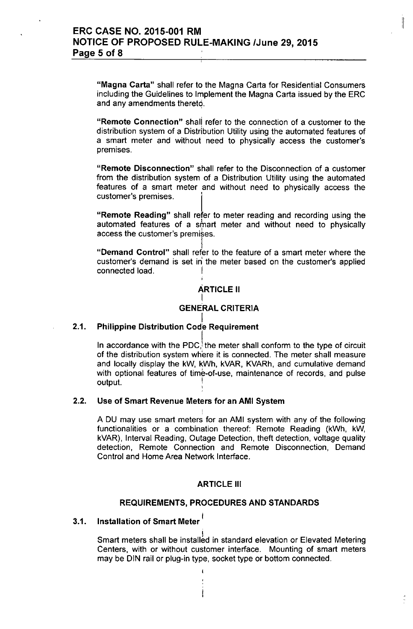"Magna Carta" shall refer to the Magna Carta for Residential Consumers including the Guidelines to Implement the Magna Carta issued by the ERC and any amendments thereto.

:1

"Remote Connection" shall refer to the connection of a customer to the distribution system of a Distribution Utility using the automated features of a smart meter and without need to physically access the customer's premises.

"Remote Disconnection" shall refer to the Disconnection of a customer from the distribution system of a Distribution Utility using the automated features of a smart meter and without need to physically access the customer's premises.

"Remote Reading" shall refer to meter reading and recording using the automated features of a smart meter and without need to physically access the customer's premises

I "Demand Control" shall refer to the feature of a smart meter where the customer's demand is set in the meter based on the customer's applied connected load.

### ARTICLE II I

## GENERAL CRITERIA

#### I 2.1. Philippine Distribution Code Requireme

In accordance with the PDC, the meter shall conform to the type of circuit of the distribution system where it is connected. The meter shall measure and locally display the kW, kWh, kVAR, KVARh, and cumulative demand with optional features of time-of-use, maintenance of records, and pulse output.

### 2.2. Use of Smart Revenue Meters for an AMI System

A DU may use smart meters for an AMI system with any of the following functionalities or a combination thereof: Remote Reading (kWh, kW, kVAR), Interval Reading, Outage Detection, theft detection, voltage quality detection, Remote Connection and Remote Disconnection, Demand Control and Home Area Network Interface.

### ARTICLE III

# REQUIREMENTS, PROCEDURES AND STANDARDS

 $\mathbf{I}$ 

# 3.1. Installation of Smart Meter<sup>1</sup>

į. Smart meters shall be installed in standard elevation or Elevated Metering Centers, with or without customer interface. Mounting of smart meters may be DIN rail or plug-in type, socket type or bottom connected.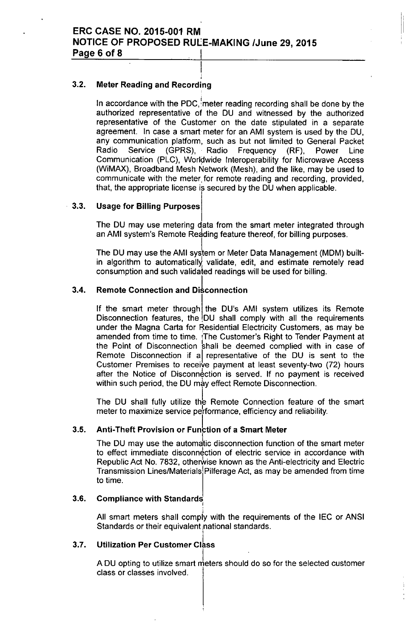I

#### i 3.2. Meter Reading and Recording

In accordance with the PDC, meter reading recording shall be done by the authorized representative of the DU and witnessed by the authorized representative of the Customer on the date stipulated in a separate agreement. In case a smart meter for an AMI system is used by the DU, any communication platform, such as but not limited to General Packet Radio Service (GPRS), Radio Frequency (RF), Power Line Communication (PLC), Worldwide Interoperability for Microwave Access (WiMAX), Broadband Mesh Network (Mesh), and the like, may be used to communicate with the meter for remote reading and recording, provided, that, the appropriate license is secured by the DU when applicable.

#### 3.3. Usage for Billing Purposes

The DU may use metering data from the smart meter integrated through an AMI system's Remote Reading feature thereof, for billing purposes.

The DU may use the AMI system or Meter Data Management (MDM) builtin algorithm to automatically validate, edit, and estimate remotely read consumption and such validated readings will be used for billing.

#### 3.4. **Remote Connection and Disconnection**

If the smart meter through the DU's AMI system utilizes its Remote Disconnection features, the  $DU$  shall comply with all the requirements under the Magna Carta for Residential Electricity Customers, as may be amended from time to time. ¡The Customer's Right to Tender Payment at the Point of Disconnection shall be deemed complied with in case of Remote Disconnection if al representative of the DU is sent to the Customer Premises to receive payment at least seventy-two (72) hours after the Notice of Disconnection is served. If no payment is received within such period, the DU may effect Remote Disconnection.

The DU shall fully utilize the Remote Connection feature of the smart meter to maximize service performance, efficiency and reliability.

#### 3.5. Anti-Theft Provision or Function of a Smart Meter

The DU may use the automatic disconnection function of the smart meter to effect immediate disconnection of electric service in accordance with Republic Act No. 7832, otherwise known as the Anti-electricity and Electric Transmission Lines/Materials Pilferage Act, as may be amended from time to time.

#### 3.6. Compliance with Standards

I All smart meters shall comply with the requirements of the IEC or ANSI Standards or their equivalent national standards. I

#### 3.7. Utilization Per Customer Class

A DU opting to utilize smart meters should do so for the selected customer class or classes involved.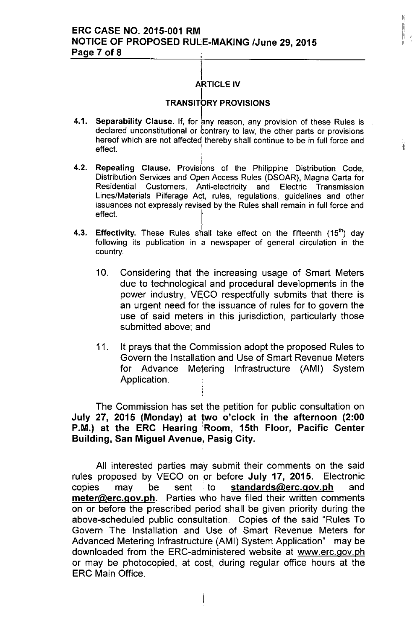#### I ARTICLE IV

łj.

# **TRANSITORY PROVISIONS**

- 4.1. Separability Clause. If, for any reason, any provision of these Rules is declared unconstitutional or contrary to law, the other parts or provisions hereof which are not affected<sub>,</sub> thereby shall continue to be in full force and<br>-f<sup>fe.et</sup> effect.
- 4.2. I Repealing Clause. Provisions of the Philippine Distribution Code, Distribution Services and Open Access Rules (DSOAR), Magna Carta for Residential Customers, Anti-electricity and Electric Transmission Lines/Materials Pilferage Act, rules, regulations, guidelines and other issuances not expressly revised by the Rules shall remain in full force and effect.
- 4.3. Effectivity. These Rules shall take effect on the fifteenth (15<sup>th</sup>) day following its publication in a newspaper of general circulation in the country.
	- 10. Considering that the increasing usage of Smart Meters due to technological and procedural developments in the power industry, VECO respectfully submits that there is an urgent need for the issuance of rules for to govern the use of said meters in this jurisdiction, particularly those submitted above; and
	- 11. It prays that the Commission adopt the proposed Rules to Govern the Installation and Use of Smart Revenue Meters for Advance Metering Infrastructure (AMI) System Application.

The Commission has set the petition for public consultation on July 27, 2015 (Monday) at two o'clock in the afternoon (2:00 P.M.) at the ERC Hearing Room, 15th Floor, Pacific Center Building, San Miguel Avenue, Pasig City.

All interested parties may submit their comments on the said rules proposed by VECO on or before July 17, 2015. Electronic copies may be sent to [standards@erc.gov.ph](mailto:standards@erc.gov.ph) and [meter@erc.gov.ph.](mailto:meter@erc.gov.ph.) Parties who have filed their written comments on or before the prescribed period shall be given priority during the above-scheduled public consultation. Copies of the said "Rules To Govern The Installation and Use of Smart Revenue Meters for Advanced Metering Infrastructure (AMI) System Application" may be downloaded from the ERC-administered website at [www.erc.gov.ph](http://www.erc.gov.ph) or may be photocopied, at cost, during regular office hours at the ERC Main Office.